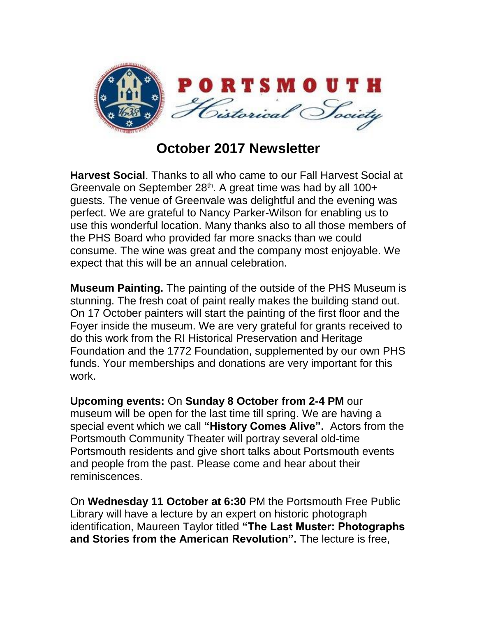

## **October 2017 Newsletter**

**Harvest Social**. Thanks to all who came to our Fall Harvest Social at Greenvale on September 28<sup>th</sup>. A great time was had by all 100+ guests. The venue of Greenvale was delightful and the evening was perfect. We are grateful to Nancy Parker-Wilson for enabling us to use this wonderful location. Many thanks also to all those members of the PHS Board who provided far more snacks than we could consume. The wine was great and the company most enjoyable. We expect that this will be an annual celebration.

**Museum Painting.** The painting of the outside of the PHS Museum is stunning. The fresh coat of paint really makes the building stand out. On 17 October painters will start the painting of the first floor and the Foyer inside the museum. We are very grateful for grants received to do this work from the RI Historical Preservation and Heritage Foundation and the 1772 Foundation, supplemented by our own PHS funds. Your memberships and donations are very important for this work.

**Upcoming events:** On **Sunday 8 October from 2-4 PM** our museum will be open for the last time till spring. We are having a special event which we call **"History Comes Alive".** Actors from the Portsmouth Community Theater will portray several old-time Portsmouth residents and give short talks about Portsmouth events and people from the past. Please come and hear about their reminiscences.

On **Wednesday 11 October at 6:30** PM the Portsmouth Free Public Library will have a lecture by an expert on historic photograph identification, Maureen Taylor titled **"The Last Muster: Photographs and Stories from the American Revolution".** The lecture is free,